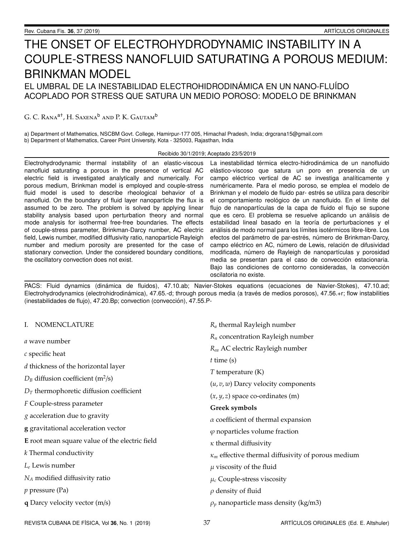# THE ONSET OF ELECTROHYDRODYNAMIC INSTABILITY IN A COUPLE-STRESS NANOFLUID SATURATING A POROUS MEDIUM: BRINKMAN MODEL EL UMBRAL DE LA INESTABILIDAD ELECTROHIDRODINÁMICA EN UN NANO-FLUÍDO ACOPLADO POR STRESS QUE SATURA UN MEDIO POROSO: MODELO DE BRINKMAN

## G. C. Rana<sup>a†</sup>, H. Saxena<sup>b</sup> and P. K. Gautam<sup>b</sup>

a) Department of Mathematics, NSCBM Govt. College, Hamirpur-177 005, Himachal Pradesh, India; drgcrana15@gmail.com b) Department of Mathematics, Career Point University, Kota - 325003, Rajasthan, India

#### Recibido 30/1/2019; Aceptado 23/5/2019

Electrohydrodynamic thermal instability of an elastic-viscous nanofluid saturating a porous in the presence of vertical AC electric field is investigated analytically and numerically. For porous medium, Brinkman model is employed and couple-stress fluid model is used to describe rheological behavior of a nanofluid. On the boundary of fluid layer nanoparticle the flux is assumed to be zero. The problem is solved by applying linear stability analysis based upon perturbation theory and normal mode analysis for isothermal free-free boundaries. The effects of couple-stress parameter, Brinkman-Darcy number, AC electric field, Lewis number, modified diffusivity ratio, nanoparticle Rayleigh number and medium porosity are presented for the case of stationary convection. Under the considered boundary conditions, the oscillatory convection does not exist.

La inestabilidad térmica electro-hidrodinámica de un nanofluido elástico-viscoso que satura un poro en presencia de un campo eléctrico vertical de AC se investiga analíticamente y numéricamente. Para el medio poroso, se emplea el modelo de Brinkman y el modelo de fluido par- estrés se utiliza para describir el comportamiento reológico de un nanofluido. En el límite del flujo de nanopartículas de la capa de fluido el flujo se supone que es cero. El problema se resuelve aplicando un análisis de estabilidad lineal basado en la teoría de perturbaciones y el análisis de modo normal para los límites isotérmicos libre-libre. Los efectos del parámetro de par-estrés, número de Brinkman-Darcy, campo eléctrico en AC, número de Lewis, relación de difusividad modificada, número de Rayleigh de nanopartículas y porosidad media se presentan para el caso de convección estacionaria. Bajo las condiciones de contorno consideradas, la convección oscilatoria no existe.

PACS: Fluid dynamics (dinámica de fluidos), 47.10.ab; Navier-Stokes equations (ecuaciones de Navier-Stokes), 47.10.ad; Electrohydrodynamics (electrohidrodinámica), 47.65.-d; through porous media (a través de medios porosos), 47.56.+r; flow instabilities (inestabilidades de flujo), 47.20.Bp; convection (conveccion), 47.55.P- ´

| I. NOMENCLATURE                                 | $R_a$ thermal Rayleigh number                             |
|-------------------------------------------------|-----------------------------------------------------------|
| a wave number                                   | $R_n$ concentration Rayleigh number                       |
| $c$ specific heat                               | R <sub>ea</sub> AC electric Rayleigh number               |
|                                                 | $t$ time $(s)$                                            |
| d thickness of the horizontal layer             | $T$ temperature $(K)$                                     |
| $D_B$ diffusion coefficient (m <sup>2</sup> /s) | $(u, v, w)$ Darcy velocity components                     |
| $D_T$ thermophoretic diffusion coefficient      | $(x, y, z)$ space co-ordinates (m)                        |
| F Couple-stress parameter                       | <b>Greek symbols</b>                                      |
| $g$ acceleration due to gravity                 | $\alpha$ coefficient of thermal expansion                 |
| g gravitational acceleration vector             | $\varphi$ noparticles volume fraction                     |
| E root mean square value of the electric field  | $\kappa$ thermal diffusivity                              |
| k Thermal conductivity                          | $\kappa_m$ effective thermal diffusivity of porous medium |
| $L_e$ Lewis number                              | $\mu$ viscosity of the fluid                              |
| $N_A$ modified diffusivity ratio                | $\mu_c$ Couple-stress viscosity                           |
| $p$ pressure (Pa)                               | $\rho$ density of fluid                                   |
| <b>q</b> Darcy velocity vector $(m/s)$          | $\rho_p$ nanoparticle mass density (kg/m3)                |

REVISTA CUBANA DE FÍSICA, Vol 36, No. 1 (2019) 37 ARTÍCULOS ORIGINALES (Ed. E. Altshuler)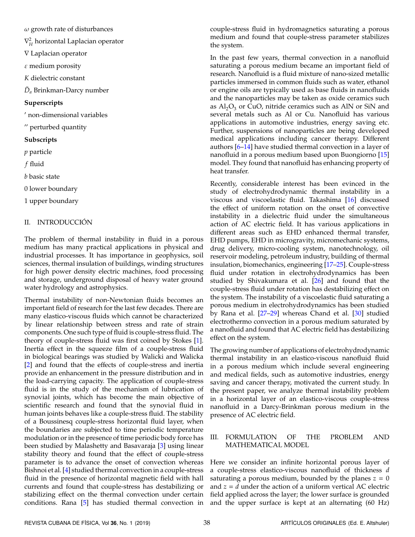$\omega$  growth rate of disturbances

 $\nabla^2_H$  horizontal Laplacian operator

∇ Laplacian operator

 $\varepsilon$  medium porosity

*K* dielectric constant

 $\tilde{D}_a$  Brinkman-Darcy number

## **Superscripts**

<sup>0</sup> non-dimensional variables

" perturbed quantity

## **Subscripts**

*p* particle

*f* fluid

*b* basic state

0 lower boundary

1 upper boundary

## II. INTRODUCCIÓN

The problem of thermal instability in fluid in a porous medium has many practical applications in physical and industrial processes. It has importance in geophysics, soil sciences, thermal insulation of buildings, winding structures for high power density electric machines, food processing and storage, underground disposal of heavy water ground water hydrology and astrophysics.

Thermal instability of non-Newtonian fluids becomes an important field of research for the last few decades. There are many elastico-viscous fluids which cannot be characterized by linear relationship between stress and rate of strain components. One such type of fluid is couple-stress fluid. The theory of couple-stress fluid was first coined by Stokes [\[1\]](#page-7-0). Inertia effect in the squeeze film of a couple-stress fluid in biological bearings was studied by Walicki and Walicka [\[2\]](#page-7-1) and found that the effects of couple-stress and inertia provide an enhancement in the pressure distribution and in the load-carrying capacity. The application of couple-stress fluid is in the study of the mechanism of lubrication of synovial joints, which has become the main objective of scientific research and found that the synovial fluid in human joints behaves like a couple-stress fluid. The stability of a Boussinesq couple-stress horizontal fluid layer, when the boundaries are subjected to time periodic temperature modulation or in the presence of time periodic body force has been studied by Malashetty and Basavaraja [\[3\]](#page-7-2) using linear stability theory and found that the effect of couple-stress parameter is to advance the onset of convection whereas Bishnoi et al. [\[4\]](#page-7-3) studied thermal convection in a couple-stress fluid in the presence of horizontal magnetic field with hall currents and found that couple-stress has destabilizing or stabilizing effect on the thermal convection under certain conditions. Rana [\[5\]](#page-7-4) has studied thermal convection in couple-stress fluid in hydromagnetics saturating a porous medium and found that couple-stress parameter stabilizes the system.

In the past few years, thermal convection in a nanofluid saturating a porous medium became an important field of research. Nanofluid is a fluid mixture of nano-sized metallic particles immersed in common fluids such as water, ethanol or engine oils are typically used as base fluids in nanofluids and the nanoparticles may be taken as oxide ceramics such as  $\text{Al}_2\text{O}_3$  or CuO, nitride ceramics such as AlN or SiN and several metals such as Al or Cu. Nanofluid has various applications in automotive industries, energy saving etc. Further, suspensions of nanoparticles are being developed medical applications including cancer therapy. Different authors [\[6–](#page-7-5)[14\]](#page-8-0) have studied thermal convection in a layer of nanofluid in a porous medium based upon Buongiorno [\[15\]](#page-8-1) model. They found that nanofluid has enhancing property of heat transfer.

Recently, considerable interest has been evinced in the study of electrohydrodynamic thermal instability in a viscous and viscoelastic fluid. Takashima [\[16\]](#page-8-2) discussed the effect of uniform rotation on the onset of convective instability in a dielectric fluid under the simultaneous action of AC electric field. It has various applications in different areas such as EHD enhanced thermal transfer, EHD pumps, EHD in microgravity, micromechanic systems, drug delivery, micro-cooling system, nanotechnology, oil reservoir modeling, petroleum industry, building of thermal insulation, biomechanics, engineering [\[17–](#page-8-3)[25\]](#page-8-4). Couple-stress fluid under rotation in electrohydrodynamics has been studied by Shivakumara et al. [\[26\]](#page-8-5) and found that the couple-stress fluid under rotation has destabilizing effect on the system. The instability of a viscoelastic fluid saturating a porous medium in electrohydrodynamics has been studied by Rana et al. [\[27–](#page-8-6)[29\]](#page-8-7) whereas Chand et al. [\[30\]](#page-8-8) studied electrothermo convection in a porous medium saturated by a nanofluid and found that AC electric field has destabilizing effect on the system.

The growing number of applications of electrohydrodynamic thermal instability in an elastico-viscous nanofluid fluid in a porous medium which include several engineering and medical fields, such as automotive industries, energy saving and cancer therapy, motivated the current study. In the present paper, we analyze thermal instability problem in a horizontal layer of an elastico-viscous couple-stress nanofluid in a Darcy-Brinkman porous medium in the presence of AC electric field.

## III. FORMULATION OF THE PROBLEM AND MATHEMATICAL MODEL

Here we consider an infinite horizontal porous layer of a couple-stress elastico-viscous nanofluid of thickness *d* saturating a porous medium, bounded by the planes  $z = 0$ and *z* = *d* under the action of a uniform vertical AC electric field applied across the layer; the lower surface is grounded and the upper surface is kept at an alternating (60 Hz)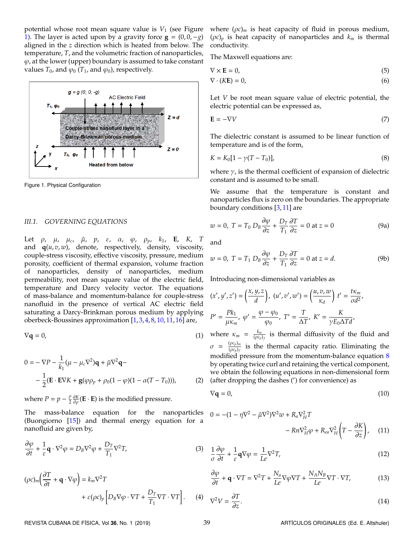potential whose root mean square value is  $V_1$  (see Figure [1\)](#page-2-0). The layer is acted upon by a gravity force  $\mathbf{g} = (0, 0, -g)$ aligned in the *z* direction which is heated from below. The temperature, *T*, and the volumetric fraction of nanoparticles,  $\varphi$ , at the lower (upper) boundary is assumed to take constant values  $T_0$ , and  $\varphi_0$  ( $T_1$ , and  $\varphi_0$ ), respectively.

<span id="page-2-0"></span>

Figure 1. Physical Configuration

#### *III.1. GOVERNING EQUATIONS*

Let ρ, µ, µ*<sup>c</sup>* , µ˜, *p*, ε, α, ϕ, ρ*p*, *k*1, **E**, *K*, *T* and **q**(*u*, *v*, *w*), denote, respectively, density, viscosity, couple-stress viscosity, effective viscosity, pressure, medium porosity, coefficient of thermal expansion, volume fraction of nanoparticles, density of nanoparticles, medium permeability, root mean square value of the electric field, temperature and Darcy velocity vector. The equations of mass-balance and momentum-balance for couple-stress nanofluid in the presence of vertical AC electric field saturating a Darcy-Brinkman porous medium by applying oberbeck-Boussines approximation [\[1,](#page-7-0) [3,](#page-7-2) [4,](#page-7-3) [8,](#page-8-9) [10,](#page-8-10) [11,](#page-8-11) [16\]](#page-8-2) are,

$$
\nabla \mathbf{q} = 0,\tag{1}
$$

$$
0 = -\nabla P - \frac{1}{k_1}(\mu - \mu_c \nabla^2)\mathbf{q} + \tilde{\mu}\nabla^2\mathbf{q} -
$$

$$
-\frac{1}{2}(\mathbf{E} \cdot \mathbf{E}\nabla K + \mathbf{g}(\varphi \rho_p + \rho_0(1 - \varphi)(1 - \alpha(T - T_0))), \qquad (2)
$$

where  $P = p - \frac{\rho}{2}$  $\frac{\rho}{2} \frac{\partial K}{\partial \rho}(\mathbf{E} \cdot \mathbf{E})$  is the modified pressure.

The mass-balance equation for the nanoparticles ( (Buongiorno [\[15\]](#page-8-1)) and thermal energy equation for a nanofluid are given by,

$$
\frac{\partial \varphi}{\partial t} + \frac{1}{\varepsilon} \mathbf{q} \cdot \nabla^2 \varphi = D_B \nabla^2 \varphi + \frac{D_T}{T_1} \nabla^2 T,\tag{3}
$$

$$
(\rho c)_m \left(\frac{\partial T}{\partial t} + \mathbf{q} \cdot \nabla \varphi\right) = k_m \nabla^2 T
$$
  
+  $\varepsilon (\rho c)_p \left[ D_B \nabla \varphi \cdot \nabla T + \frac{D_T}{T_1} \nabla T \cdot \nabla T \right].$  (4)

where  $(\rho c)_m$  is heat capacity of fluid in porous medium,  $(\rho c)_p$  is heat capacity of nanoparticles and  $k_m$  is thermal conductivity.

The Maxwell equations are:

$$
\nabla \times \mathbf{E} = 0,\tag{5}
$$

$$
\nabla \cdot (K\mathbf{E}) = 0,\tag{6}
$$

Let *V* be root mean square value of electric potential, the electric potential can be expressed as,

$$
\mathbf{E} = -\nabla V \tag{7}
$$

<span id="page-2-1"></span>The dielectric constant is assumed to be linear function of temperature and is of the form,

$$
K = K_0[1 - \gamma (T - T_0)],
$$
\n(8)

where  $\gamma$ , is the thermal coefficient of expansion of dielectric constant and is assumed to be small.

We assume that the temperature is constant and nanoparticles flux is zero on the boundaries. The appropriate boundary conditions [\[3,](#page-7-2) [11\]](#page-8-11) are

$$
w = 0, T = T_0 D_B \frac{\partial \varphi}{\partial z} + \frac{D_T}{T_1} \frac{\partial T}{\partial z} = 0 \text{ at } z = 0
$$
 (9a)

<span id="page-2-2"></span>and

$$
w = 0, T = T_1 D_B \frac{\partial \varphi}{\partial z} + \frac{D_T}{T_1} \frac{\partial T}{\partial z} = 0 \text{ at } z = d.
$$
 (9b)

Introducing non-dimensional variables as

$$
(x', y', z') = \left(\frac{x, y, z}{d}\right), (u', v', w') = \left(\frac{u, v, w}{\kappa_d}\right) t' = \frac{t\kappa_m}{\sigma d^2},
$$
  

$$
P' = \frac{Pk_1}{\mu \kappa_m}, \varphi' = \frac{\varphi - \varphi_0}{\varphi_0}, T' = \frac{T}{\Delta T}, K' = \frac{K}{\gamma E_0 \Delta T d},
$$

where  $\kappa_m = \frac{k_m}{(\rho c_m)}$  $\frac{k_m}{(\rho c_p)_f}$  is thermal diffusivity of the fluid and  $\sigma = \frac{(\rho c_p)_m}{(\rho c_n)_f}$  $\frac{\sqrt{P^c p/m}}{(p c_p)_f}$  is the thermal capacity ratio. Eliminating the modified pressure from the momentum-balance equation [8](#page-2-1) by operating twice curl and retaining the vertical component, we obtain the following equations in non-dimensional form (after dropping the dashes (') for convenience) as

$$
\nabla \mathbf{q} = 0,\tag{10}
$$

$$
0 = -(1 - \eta \nabla^2 - \tilde{\mu} \nabla^2) \nabla^2 w + R_a \nabla_H^2 T
$$

$$
- R n \nabla_H^2 \varphi + R_{ea} \nabla_H^2 \left( T - \frac{\partial K}{\partial z} \right), \quad (11)
$$

$$
\frac{1}{\sigma} \frac{\partial \varphi}{\partial t} + \frac{1}{\varepsilon} \mathbf{q} \nabla \varphi = \frac{1}{L \varepsilon} \nabla^2 T,\tag{12}
$$

$$
\frac{\partial \varphi}{\partial t} + \mathbf{q} \cdot \nabla T = \nabla^2 T + \frac{N_a}{Le} \nabla \varphi \nabla T + \frac{N_A N_B}{Le} \nabla T \cdot \nabla T,\tag{13}
$$

$$
\nabla T \cdot \nabla T \bigg]. \qquad (4) \qquad \nabla^2 V = \frac{\partial T}{\partial z}.
$$

REVISTA CUBANA DE FÍSICA, Vol 36, No. 1 (2019) 39 **39 ARTÍCULOS ORIGINALES (Ed. E. Altshuler)**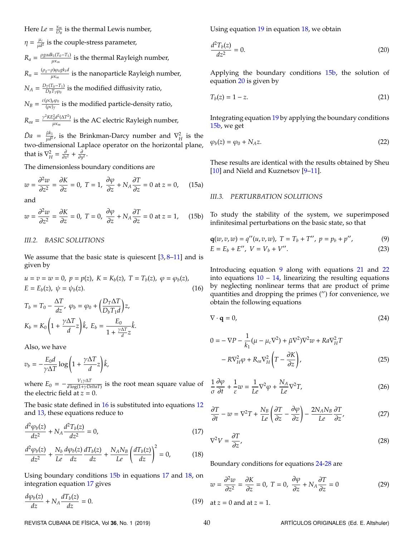Here  $Le = \frac{\kappa_m}{D_n}$  $\frac{\kappa_m}{D_B}$  is the thermal Lewis number,

 $\eta = \frac{\mu_c}{ud}$  $\frac{\mu_c}{\mu d^2}$  is the couple-stress parameter,

 $R_a = \frac{\rho g \alpha d k_1 (T_0 - T_1)}{\mu \kappa_m}$  $\frac{\mu_{\text{K}}(T_0-T_1)}{\mu_{\text{K}}}}$  is the thermal Rayleigh number,  $R_n = \frac{(\rho_g - \rho)\varphi_0 g k_1 d}{\mu \kappa_m}$ µκ*<sup>m</sup>* is the nanoparticle Rayleigh number,  $N_A = \frac{D_T(T_0 - T_1)}{D_B T_1 \omega_0}$  $\frac{T(10-11)}{D_B T_1 \varphi_0}$  is the modified diffusivity ratio,

 $N_B = \frac{\varepsilon(\rho c)_p \varphi_0}{(\rho c)_f}$  $\frac{\rho c_{pp} \rho_0}{(\rho c)_f}$  is the modified particle-density ratio,

$$
R_{ea} = \frac{\gamma^2 KE_0^2 d^2 (\Delta T^2)}{\mu \kappa_m}
$$
 is the AC electric Rayleigh number,

 $\tilde{D}a = \frac{\tilde{\mu}k_1}{\mu d^2}$  $\frac{\tilde{\mu}k_1}{\mu d^2}$ , is the Brinkman-Darcy number and  $\nabla_H^2$  is the two-dimensional Laplace operator on the horizontal plane, that is  $\nabla_H^2 = \frac{\partial}{\partial x^2} + \frac{\partial}{\partial y^2}$ .

The dimensionless boundary conditions are

$$
w = \frac{\partial^2 w}{\partial z^2} = \frac{\partial K}{\partial z} = 0, \ T = 1, \ \frac{\partial \varphi}{\partial z} + N_A \frac{\partial T}{\partial z} = 0 \text{ at } z = 0,
$$
 (15a)

and

$$
w = \frac{\partial^2 w}{\partial z^2} = \frac{\partial K}{\partial z} = 0, \ T = 0, \ \frac{\partial \varphi}{\partial z} + N_A \frac{\partial T}{\partial z} = 0 \text{ at } z = 1,
$$
 (15b)

### <span id="page-3-0"></span>*III.2. BASIC SOLUTIONS*

We assume that the basic state is quiescent  $[3, 8-11]$  $[3, 8-11]$  $[3, 8-11]$  $[3, 8-11]$  and is given by

$$
u = v = w = 0, \ p = p(z), \ K = K_b(z), \ T = T_b(z), \ \varphi = \varphi_b(z),
$$
  
\n
$$
E = E_b(z), \ \psi = \psi_b(z).
$$
 (16)

$$
T_b = T_0 - \frac{\Delta T}{dz}, \ \varphi_b = \varphi_0 + \left(\frac{D_T \Delta T}{D_b T_1 d}\right) z,
$$
  

$$
K_b = K_0 \left(1 + \frac{\gamma \Delta T}{d} z\right) \hat{k}, \ E_b = \frac{E_0}{1 + \frac{\gamma \Delta T}{d} z} \hat{k}.
$$

Also, we have

$$
v_b = -\frac{E_0 d}{\gamma \Delta T} \log \left( 1 + \frac{\gamma \Delta T}{d} z \right) \hat{k},
$$

where  $E_0 = -\frac{V_1 \gamma \Delta T}{d \log(1 + \gamma D \epsilon)}$  $\frac{v_1}{d \log(1+\gamma DeltaT)}$  is the root mean square value of the electric field at  $z = 0$ .

The basic state defined in [16](#page-3-0) is substituted into equations [12](#page-2-2) and [13,](#page-2-2) these equations reduce to

$$
\frac{d^2\varphi_b(z)}{dz^2} + N_A \frac{d^2T_b(z)}{dz^2} = 0,
$$
\n(17)

$$
\frac{d^2\varphi_b(z)}{dz^2} + \frac{N_b}{Le}\frac{d\varphi_b(z)}{dz}\frac{dT_b(z)}{dz} + \frac{N_A N_B}{Le}\left(\frac{dT_b(z)}{dz}\right)^2 = 0,\tag{18}
$$

Using boundary conditions [15b](#page-2-2) in equations [17](#page-2-2) and [18,](#page-2-2) on integration equation [17](#page-2-2) gives

$$
\frac{d\varphi_b(z)}{dz} + N_A \frac{dT_b(z)}{dz} = 0.
$$
\n(19)

Using equation [19](#page-2-2) in equation [18,](#page-2-2) we obtain

$$
\frac{d^2T_b(z)}{dz^2} = 0.
$$
 (20)

Applying the boundary conditions [15b,](#page-2-2) the solution of equation [20](#page-2-2) is given by

$$
T_b(z) = 1 - z.\tag{21}
$$

Integrating equation [19](#page-2-2) by applying the boundary conditions [15b,](#page-2-2) we get

$$
\varphi_b(z) = \varphi_0 + N_A z. \tag{22}
$$

These results are identical with the results obtained by Sheu [\[10\]](#page-8-10) and Nield and Kuznetsov [9-[11\]](#page-8-11).

#### *III.3. PERTURBATION SOLUTIONS*

To study the stability of the system, we superimposed infinitesimal perturbations on the basic state, so that

$$
\mathbf{q}(w,v,w) = q''(u,v,w), \ T = T_b + T'', \ p = p_b + p'', \tag{9}
$$

$$
E = E_b + E'', \ V = V_b + V''.
$$
 (23)

Introducing equation [9](#page-2-2) along with equations [21](#page-2-2) and [22](#page-2-2) into equations  $10 - 14$  $10 - 14$ , linearizing the resulting equations by neglecting nonlinear terms that are product of prime quantities and dropping the primes (") for convenience, we obtain the following equations

<span id="page-3-1"></span>
$$
\nabla \cdot \mathbf{q} = 0,\tag{24}
$$

$$
0 = -\nabla P - \frac{1}{k_1}(\mu - \mu_c \nabla^2) + \tilde{\mu}\nabla^2\nabla^2 w + Ra\nabla_H^2 T
$$

$$
- R\nabla_H^2 \varphi + R_{ea}\nabla_H^2 \left(T - \frac{\partial K}{\partial z}\right),
$$
(25)

$$
\frac{1}{\sigma} \frac{\partial \varphi}{\partial t} + \frac{1}{\varepsilon} w = \frac{1}{Le} \nabla^2 \varphi + \frac{N_A}{Le} \nabla^2 T,\tag{26}
$$

$$
\frac{\partial T}{\partial t} - w = \nabla^2 T + \frac{N_B}{Le} \left( \frac{\partial T}{\partial z} - \frac{\partial \varphi}{\partial z} \right) - \frac{2N_A N_B}{Le} \frac{\partial T}{\partial z'},
$$
(27)

$$
\nabla^2 V = \frac{\partial T}{\partial z},\tag{28}
$$

Boundary conditions for equations [24-28](#page-3-1) are

$$
w = \frac{\partial^2 w}{\partial z^2} = \frac{\partial K}{\partial z} = 0, \ T = 0, \ \frac{\partial \varphi}{\partial z} + N_A \frac{\partial T}{\partial z} = 0 \tag{29}
$$

at *z* = 0 and at *z* = 1.

REVISTA CUBANA DE FÍSICA, Vol 36, No. 1 (2019) 40 ARTÍCULOS ORIGINALES (Ed. E. Altshuler)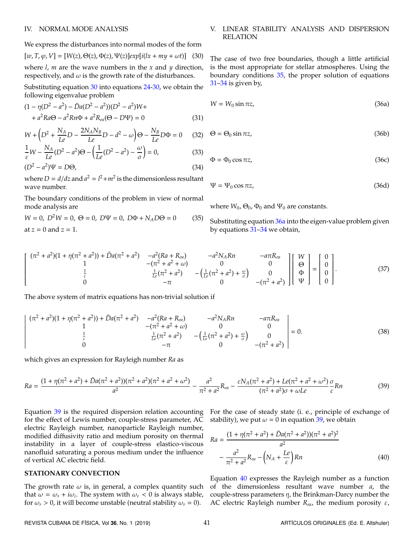#### IV. NORMAL MODE ANALYSIS

We express the disturbances into normal modes of the form

$$
[w, T, \varphi, V] = [W(z), \Theta(z), \Phi(z), \Psi(z)] \exp[i(lx + my + \omega t)]
$$
 (30)  
where *l*, *m* are the wave numbers in the *x* and *y* direction,

respectively, and  $\omega$  is the growth rate of the disturbances.

Substituting equation [30](#page-4-0) into equations [24](#page-3-1)[-30,](#page-4-0) we obtain the following eigenvalue problem

$$
(1 - \eta(D^2 - a^2) - \tilde{D}a(D^2 - a^2))(D^2 - a^2)W ++ a^2Ra\Theta - a^2Rn\Phi + a^2R_{ea}(\Theta - D\Psi) = 0
$$
\n(31)

$$
W + \left(D^2 + \frac{N_A}{Le}D - \frac{2N_A N_B}{Le}D - d^2 - \omega\right)\Theta - \frac{N_B}{Le}D\Phi = 0
$$
 (32)

$$
\frac{1}{\varepsilon}W - \frac{N_A}{Le}(D^2 - a^2)\Theta - \left(\frac{1}{Le}(D^2 - a^2) - \frac{\omega}{\sigma}\right) = 0,
$$
\n(33)

$$
(D2 – a2)\Psi = D\Theta,
$$
\n(34)

where  $D = d/dz$  and  $a^2 = l^2 + m^2$  is the dimensionless resultant wave number.

The boundary conditions of the problem in view of normal mode analysis are

$$
W = 0, D2W = 0, \Theta = 0, D\Psi = 0, D\Phi + NAD\Theta = 0
$$
 (35)  
at  $z = 0$  and  $z = 1$ .

## <span id="page-4-0"></span>V. LINEAR STABILITY ANALYSIS AND DISPERSION RELATION

<span id="page-4-1"></span>The case of two free boundaries, though a little artificial is the most appropriate for stellar atmospheres. Using the boundary conditions [35,](#page-4-0) the proper solution of equations [31–34](#page-4-0) is given by,

$$
W = W_0 \sin \pi z, \tag{36a}
$$

$$
\Theta = \Theta_0 \sin \pi z, \tag{36b}
$$

$$
\Phi = \Phi_0 \cos \pi z, \tag{36c}
$$

$$
\Psi = \Psi_0 \cos \pi z, \tag{36d}
$$

where  $W_0$ ,  $\Theta_0$ ,  $\Phi_0$  and  $\Psi_0$  are constants.

Substituting equation [36a](#page-4-1) into the eigen-value problem given by equations [31–34](#page-4-0) we obtain,

$$
\begin{bmatrix}\n(\pi^2 + a^2)(1 + \eta(\pi^2 + a^2)) + \tilde{D}a(\pi^2 + a^2) & -a^2(Ra + R_{ca}) & -a^2N_A Rn & -a\pi R_{ca} \\
1 & -(\pi^2 + a^2 + \omega) & 0 & 0 \\
\frac{1}{c} & \frac{1}{Lc}(\pi^2 + a^2) & -\left(\frac{1}{Lc}(\pi^2 + a^2) + \frac{\omega}{\sigma}\right) & 0 \\
-\pi & 0 & -(\pi^2 + a^2)\n\end{bmatrix}\n\begin{bmatrix}\nW \\
\Theta \\
\Phi \\
\Psi\n\end{bmatrix} =\n\begin{bmatrix}\n0 \\
0 \\
0 \\
0\n\end{bmatrix}.
$$
\n(37)

The above system of matrix equations has non-trivial solution if

$$
\begin{vmatrix}\n(\pi^2 + a^2)(1 + \eta(\pi^2 + a^2)) + \tilde{D}a(\pi^2 + a^2) & -a^2(Ra + R_{ea}) & -a^2N_A Rn & -a\pi R_{ea} \\
1 & -(\pi^2 + a^2 + \omega) & 0 & 0 \\
\frac{1}{c} & \frac{1}{L\epsilon}(\pi^2 + a^2) & -(\frac{1}{L\epsilon}(\pi^2 + a^2) + \frac{\omega}{\sigma}) & 0 \\
0 & -\pi & 0 & -(\pi^2 + a^2)\n\end{vmatrix} = 0.
$$
\n(38)

which gives an expression for Rayleigh number *Ra* as

$$
Ra = \frac{(1 + \eta(\pi^2 + a^2) + \tilde{D}a(\pi^2 + a^2))(\pi^2 + a^2)(\pi^2 + a^2 + \omega^2)}{a^2} - \frac{a^2}{\pi^2 + a^2}R_{ea} - \frac{\varepsilon N_A(\pi^2 + a^2) + Le(\pi^2 + a^2 + \omega^2)}{(\pi^2 + a^2)\sigma + \omega Le} \frac{\sigma}{\varepsilon}Rn
$$
(39)

Equation [39](#page-4-1) is the required dispersion relation accounting for the effect of Lewis number, couple-stress parameter, AC electric Rayleigh number, nanoparticle Rayleigh number, modified diffusivity ratio and medium porosity on thermal instability in a layer of couple-stress elastico-viscous nanofluid saturating a porous medium under the influence of vertical AC electric field.

## **STATIONARY CONVECTION**

The growth rate  $\omega$  is, in general, a complex quantity such that  $\omega = \omega_r + i\omega_i$ . The system with  $\omega_r < 0$  is always stable, for  $\omega_r > 0$ , it will become unstable (neutral stability  $\omega_r = 0$ ).

For the case of steady state (i. e., principle of exchange of stability), we put  $\omega = 0$  in equation [39,](#page-4-1) we obtain

$$
Ra = \frac{(1 + \eta(\pi^2 + a^2) + \tilde{D}a(\pi^2 + a^2))(\pi^2 + a^2)^2}{a^2}
$$

$$
- \frac{a^2}{\pi^2 + a^2}R_{ea} - \left(N_A + \frac{Le}{\varepsilon}\right)Rn
$$
(40)

Equation [40](#page-4-1) expresses the Rayleigh number as a function of the dimensionless resultant wave number *a*, the couple-stress parameters  $\eta$ , the Brinkman-Darcy number the AC electric Rayleigh number *Rea*, the medium porosity ε,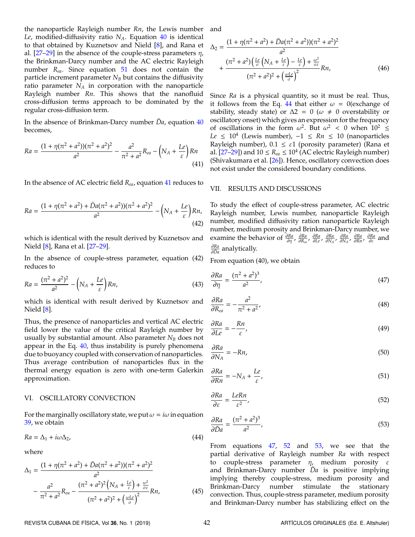the nanoparticle Rayleigh number *Rn*, the Lewis number *Le*, modified-diffusivity ratio *NA*. Equation [40](#page-4-1) is identical to that obtained by Kuznetsov and Nield [\[8\]](#page-8-9), and Rana et al.  $[27-29]$  $[27-29]$  in the absence of the couple-stress parameters  $\eta$ , the Brinkman-Darcy number and the AC electric Rayleigh number *Rea*. Since equation [51](#page-5-0) does not contain the particle increment parameter  $N_B$  but contains the diffusivity ratio parameter *N<sup>A</sup>* in corporation with the nanoparticle Rayleigh number *Rn*. This shows that the nanofluid cross-diffusion terms approach to be dominated by the regular cross-diffusion term.

In the absence of Brinkman-Darcy number  $\tilde{D}a$ , equation  $40$ becomes,

$$
Ra = \frac{(1 + \eta(\pi^2 + a^2))(\pi^2 + a^2)^2}{a^2} - \frac{a^2}{\pi^2 + a^2}R_{ea} - \left(N_A + \frac{Le}{\varepsilon}\right)Rn\tag{41}
$$

In the absence of AC electric field *Rea*, equation [41](#page-4-1) reduces to

$$
Ra = \frac{(1 + \eta(\pi^2 + a^2) + \tilde{D}a(\pi^2 + a^2))(\pi^2 + a^2)^2}{a^2} - \left(N_A + \frac{Le}{\varepsilon}\right)Rn,
$$
\n(42)

which is identical with the result derived by Kuznetsov and Nield [\[8\]](#page-8-9), Rana et al. [\[27–](#page-8-6)[29\]](#page-8-7).

In the absence of couple-stress parameter, equation (42) reduces to

$$
Ra = \frac{(\pi^2 + a^2)^2}{a^2} - \left(N_A + \frac{Le}{\varepsilon}\right)Rn,\tag{43}
$$

which is identical with result derived by Kuznetsov and Nield [\[8\]](#page-8-9).

Thus, the presence of nanoparticles and vertical AC electric field lower the value of the critical Rayleigh number by usually by substantial amount. Also parameter *N<sup>B</sup>* does not appear in the Eq. [40,](#page-4-1) thus instability is purely phenomena due to buoyancy coupled with conservation of nanoparticles. Thus average contribution of nanoparticles flux in the thermal energy equation is zero with one-term Galerkin approximation.

#### VI. OSCILLATORY CONVECTION

<span id="page-5-1"></span>For the marginally oscillatory state, we put  $\omega = i\omega$  in equation [39,](#page-4-1) we obtain

$$
Ra = \Delta_1 + i\omega\Delta_2,\tag{44}
$$

where

$$
\Delta_1 = \frac{(1 + \eta(\pi^2 + a^2) + \tilde{D}a(\pi^2 + a^2))(\pi^2 + a^2)^2}{a^2} - \frac{a^2}{\pi^2 + a^2} R_{ea} - \frac{(\pi^2 + a^2)^2 \left(N_A + \frac{L\epsilon}{\epsilon}\right) + \frac{\omega^2}{\sigma \epsilon}}{(\pi^2 + a^2)^2 + \left(\frac{\omega L\epsilon}{\sigma}\right)^2} Rn,
$$
\n(45)

and

$$
\Delta_2 = \frac{(1 + \eta(\pi^2 + a^2) + \tilde{D}a(\pi^2 + a^2))(\pi^2 + a^2)^2}{a^2} + \frac{(\pi^2 + a^2)\left(\frac{L\epsilon}{\sigma}\left(N_A + \frac{L\epsilon}{\epsilon}\right) - \frac{L\epsilon}{\epsilon}\right) + \frac{\omega^2}{\sigma\epsilon}}{(\pi^2 + a^2)^2 + \left(\frac{\omega L\epsilon}{\sigma}\right)^2} Rn,\tag{46}
$$

Since *Ra* is a physical quantity, so it must be real. Thus, it follows from the Eq. [44](#page-5-1) that either  $\omega = 0$  (exchange of stability, steady state) or  $\Delta 2 = 0$  ( $\omega \neq 0$  overstability or oscillatory onset) which gives an expression for the frequency of oscillations in the form  $\omega^2$ . But  $\omega^2$  < 0 when  $10^2 \le$  $Le$  ≤ 10<sup>4</sup> (Lewis number),  $-1$  ≤  $Rn$  ≤ 10 (nanoparticles Rayleigh number),  $0.1 \leq \varepsilon$ 1 (porosity parameter) (Rana et al. [\[27–](#page-8-6)[29\]](#page-8-7)) and  $10 \leq R_{ea} \leq 10^4$  (AC electric Rayleigh number) (Shivakumara et al.  $[26]$ ). Hence, oscillatory convection does not exist under the considered boundary conditions.

#### VII. RESULTS AND DISCUSSIONS

To study the effect of couple-stress parameter, AC electric Rayleigh number, Lewis number, nanoparticle Rayleigh number, modified diffusivity ration nanoparticle Rayleigh number, medium porosity and Brinkman-Darcy number, we examine the behavior of  $\frac{\partial R_a}{\partial \eta}$ ,  $\frac{\partial R_a}{\partial R_{\alpha\alpha}}$ ,  $\frac{\partial R_a}{\partial L_{\alpha}}$ ,  $\frac{\partial R_a}{\partial N_A}$ ,  $\frac{\partial R_a}{\partial R_B}$ ,  $\frac{\partial R_a}{\partial \varepsilon}$  and ∂*Ra* ∂*Da*˜ analytically.

<span id="page-5-0"></span>From equation (40), we obtain

$$
\frac{\partial Ra}{\partial \eta} = \frac{(\pi^2 + a^2)^3}{a^2},\tag{47}
$$

$$
\frac{\partial R a}{\partial R_{ea}} = -\frac{a^2}{\pi^2 + a^2},\tag{48}
$$

$$
\frac{\partial Ra}{\partial Le} = -\frac{Rn}{\varepsilon},\tag{49}
$$

$$
\frac{\partial Ra}{\partial N_A} = -Rn,\tag{50}
$$

$$
\frac{\partial Ra}{\partial Rn} = -N_A + \frac{Le}{\varepsilon},\tag{51}
$$

$$
\frac{\partial Ra}{\partial \varepsilon} = \frac{LeRn}{\varepsilon^2},\tag{52}
$$

$$
\frac{\partial Ra}{\partial \tilde{D}a} = \frac{(\pi^2 + a^2)^3}{a^2},\tag{53}
$$

From equations [47,](#page-5-0) [52](#page-5-0) and [53,](#page-5-0) we see that the partial derivative of Rayleigh number *Ra* with respect to couple-stress parameter  $\eta$ , medium porosity  $\varepsilon$ and Brinkman-Darcy number *Da* is positive implying implying thereby couple-stress, medium porosity and Brinkman-Darcy number stimulate the stationary convection. Thus, couple-stress parameter, medium porosity and Brinkman-Darcy number has stabilizing effect on the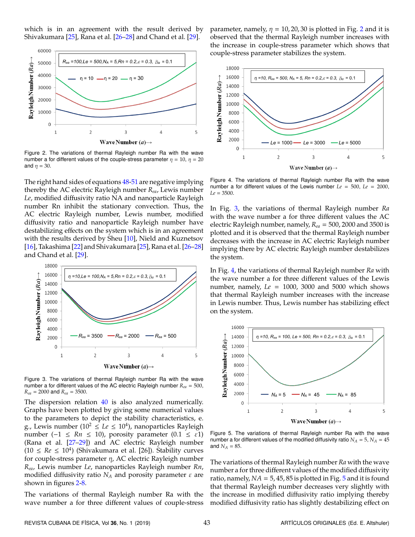which is in an agreement with the result derived by Shivakumara [\[25\]](#page-8-4), Rana et al. [\[26](#page-8-5)[–28\]](#page-8-13) and Chand et al. [\[29\]](#page-8-7).

<span id="page-6-0"></span>

Figure 2. The variations of thermal Rayleigh number Ra with the wave number a for different values of the couple-stress parameter  $\eta = 10$ ,  $\eta = 20$ and  $\eta = 30$ .

The right hand sides of equations [48-51](#page-5-0) are negative implying thereby the AC electric Rayleigh number *Rea*, Lewis number *Le*, modified diffusivity ratio NA and nanoparticle Rayleigh number Rn inhibit the stationary convection. Thus, the AC electric Rayleigh number, Lewis number, modified diffusivity ratio and nanoparticle Rayleigh number have destabilizing effects on the system which is in an agreement with the results derived by Sheu [\[10\]](#page-8-10), Nield and Kuznetsov [\[16\]](#page-8-2), Takashima [\[22\]](#page-8-14) and Shivakumara [\[25\]](#page-8-4), Rana et al. [\[26](#page-8-5)[–28\]](#page-8-13) and Chand et al. [\[29\]](#page-8-7).

<span id="page-6-1"></span>

Figure 3. The variations of thermal Rayleigh number Ra with the wave number a for different values of the AC electric Rayleigh number *Rea* = 500, *Rea* = 2000 and *Rea* = 3500.

The dispersion relation [40](#page-4-1) is also analyzed numerically. Graphs have been plotted by giving some numerical values to the parameters to depict the stability characteristics, e. g., Lewis number  $(10^2 \leq Le \leq 10^4)$ , nanoparticles Rayleigh number ( $-1 \leq Rn \leq 10$ ), porosity parameter (0.1 ≤  $\varepsilon$ 1) (Rana et al. [\[27–](#page-8-6)[29\]](#page-8-7)) and AC electric Rayleigh number  $(10 ≤ Re ≤ 10<sup>4</sup>)$  (Shivakumara et al. [26]). Stability curves for couple-stress parameter η, AC electric Rayleigh number *Rea*, Lewis number *Le*, nanoparticles Rayleigh number *Rn*, modified diffusivity ratio  $N_A$  and porosity parameter  $\varepsilon$  are shown in figures [2](#page-6-0)[-8.](#page-7-6)

The variations of thermal Rayleigh number Ra with the wave number a for three different values of couple-stress

parameter, namely,  $\eta = 10, 20, 30$  $\eta = 10, 20, 30$  $\eta = 10, 20, 30$  is plotted in Fig. 2 and it is observed that the thermal Rayleigh number increases with the increase in couple-stress parameter which shows that couple-stress parameter stabilizes the system.

<span id="page-6-2"></span>

Figure 4. The variations of thermal Rayleigh number Ra with the wave number a for different values of the Lewis number *Le* = 500, *Le* = 2000, *Le* = 3500.

In Fig. [3,](#page-6-1) the variations of thermal Rayleigh number *Ra* with the wave number a for three different values the AC electric Rayleigh number, namely, *Rea* = 500, 2000 and 3500 is plotted and it is observed that the thermal Rayleigh number decreases with the increase in AC electric Rayleigh number implying there by AC electric Rayleigh number destabilizes the system.

In Fig. [4,](#page-6-2) the variations of thermal Rayleigh number *Ra* with the wave number a for three different values of the Lewis number, namely, *Le* = 1000, 3000 and 5000 which shows that thermal Rayleigh number increases with the increase in Lewis number. Thus, Lewis number has stabilizing effect on the system.

<span id="page-6-3"></span>

Figure 5. The variations of thermal Rayleigh number Ra with the wave number a for different values of the modified diffusivity ratio  $N_A = 5$ ,  $N_A = 45$ and  $N_A = 85$ .

The variations of thermal Rayleigh number *Ra* with the wave number a for three different values of the modified diffusivity ratio, namely,  $NA = 5$  $NA = 5$ , 45, 85 is plotted in Fig.  $\overline{5}$  and it is found that thermal Rayleigh number decreases very slightly with the increase in modified diffusivity ratio implying thereby modified diffusivity ratio has slightly destabilizing effect on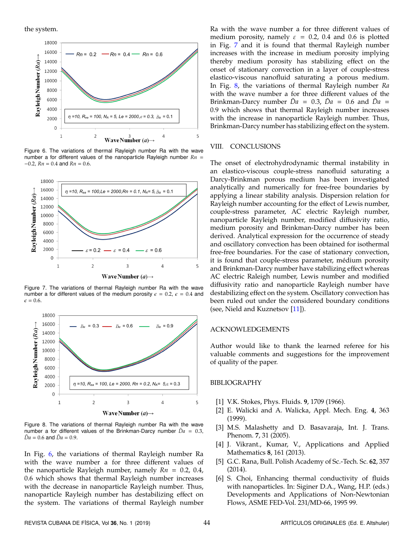the system.

<span id="page-7-7"></span>

Figure 6. The variations of thermal Rayleigh number Ra with the wave number a for different values of the nanoparticle Rayleigh number *Rn* = −0.2, *Rn* = 0.4 and *Rn* = 0.6.

<span id="page-7-8"></span>

Figure 7. The variations of thermal Rayleigh number Ra with the wave number a for different values of the medium porosity  $\epsilon = 0.2$ ,  $\epsilon = 0.4$  and  $\epsilon = 0.6$ .

<span id="page-7-6"></span>

Figure 8. The variations of thermal Rayleigh number Ra with the wave number a for different values of the Brinkman-Darcy number  $\tilde{D}a = 0.3$ ,  $\tilde{D}a = 0.6$  and  $\tilde{D}a = 0.9$ .

In Fig. [6,](#page-7-7) the variations of thermal Rayleigh number Ra with the wave number a for three different values of the nanoparticle Rayleigh number, namely *Rn* = 0.2, 0.4, 0.6 which shows that thermal Rayleigh number increases with the decrease in nanoparticle Rayleigh number. Thus, nanoparticle Rayleigh number has destabilizing effect on the system. The variations of thermal Rayleigh number

Ra with the wave number a for three different values of medium porosity, namely  $\varepsilon = 0.2$ , 0.4 and 0.6 is plotted in Fig. [7](#page-7-8) and it is found that thermal Rayleigh number increases with the increase in medium porosity implying thereby medium porosity has stabilizing effect on the onset of stationary convection in a layer of couple-stress elastico-viscous nanofluid saturating a porous medium. In Fig. [8,](#page-7-6) the variations of thermal Rayleigh number *Ra* with the wave number a for three different values of the Brinkman-Darcy number  $\bar{D}a = 0.3$ ,  $\bar{D}a = 0.6$  and  $\bar{D}a =$ 0.9 which shows that thermal Rayleigh number increases with the increase in nanoparticle Rayleigh number. Thus, Brinkman-Darcy number has stabilizing effect on the system.

## VIII. CONCLUSIONS

The onset of electrohydrodynamic thermal instability in an elastico-viscous couple-stress nanofluid saturating a Darcy-Brinkman porous medium has been investigated analytically and numerically for free-free boundaries by applying a linear stability analysis. Dispersion relation for Rayleigh number accounting for the effect of Lewis number, couple-stress parameter, AC electric Rayleigh number, nanoparticle Rayleigh number, modified diffusivity ratio, medium porosity and Brinkman-Darcy number has been derived. Analytical expression for the occurrence of steady and oscillatory convection has been obtained for isothermal free-free boundaries. For the case of stationary convection, it is found that couple-stress parameter, médium porosity and Brinkman-Darcy number have stabilizing effect whereas AC electric Raleigh number, Lewis number and modified diffusivity ratio and nanoparticle Rayleigh number have destabilizing effect on the system. Oscillatory convection has been ruled out under the considered boundary conditions (see, Nield and Kuznetsov [\[11\]](#page-8-11)).

## ACKNOWLEDGEMENTS

Author would like to thank the learned referee for his valuable comments and suggestions for the improvement of quality of the paper.

## BIBLIOGRAPHY

- <span id="page-7-0"></span>[1] V.K. Stokes, Phys. Fluids. **9**, 1709 (1966).
- <span id="page-7-1"></span>[2] E. Walicki and A. Walicka, Appl. Mech. Eng. **4**, 363 (1999).
- <span id="page-7-2"></span>[3] M.S. Malashetty and D. Basavaraja, Int. J. Trans. Phenom. **7**, 31 (2005).
- <span id="page-7-3"></span>[4] J. Vikrant., Kumar, V., Applications and Applied Mathematics **8**, 161 (2013).
- <span id="page-7-4"></span>[5] G.C. Rana, Bull. Polish Academy of Sc.-Tech. Sc. **62**, 357 (2014).
- <span id="page-7-5"></span>[6] S. Choi, Enhancing thermal conductivity of fluids with nanoparticles. In: Siginer D.A., Wang, H.P. (eds.) Developments and Applications of Non-Newtonian Flows, ASME FED-Vol. 231/MD-66, 1995 99.